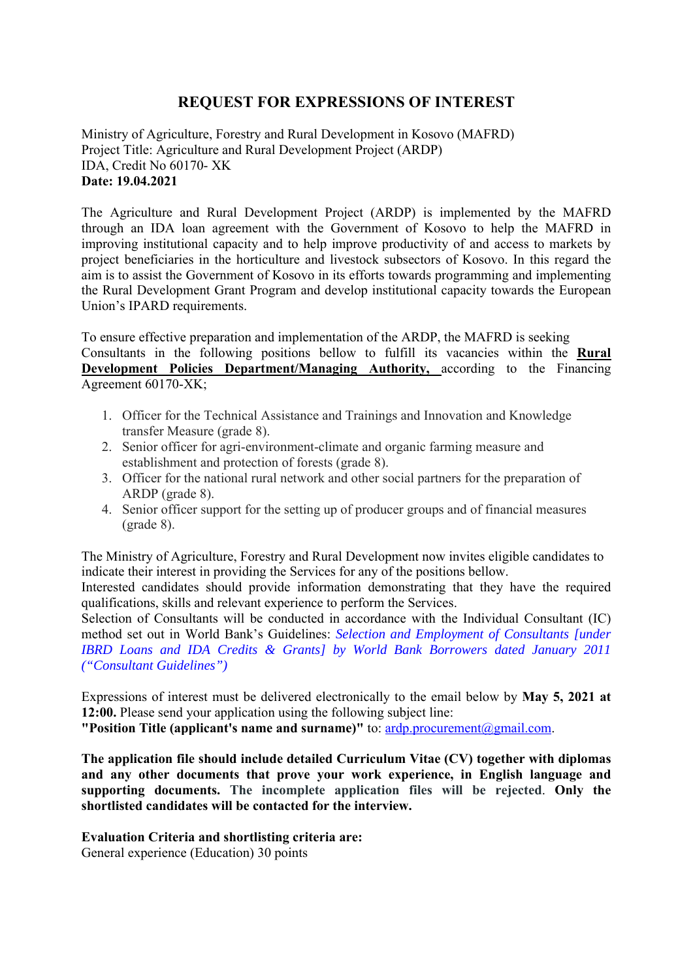# **REQUEST FOR EXPRESSIONS OF INTEREST**

Ministry of Agriculture, Forestry and Rural Development in Kosovo (MAFRD) Project Title: Agriculture and Rural Development Project (ARDP) IDA, Credit No 60170- XK **Date: 19.04.2021** 

The Agriculture and Rural Development Project (ARDP) is implemented by the MAFRD through an IDA loan agreement with the Government of Kosovo to help the MAFRD in improving institutional capacity and to help improve productivity of and access to markets by project beneficiaries in the horticulture and livestock subsectors of Kosovo. In this regard the aim is to assist the Government of Kosovo in its efforts towards programming and implementing the Rural Development Grant Program and develop institutional capacity towards the European Union's IPARD requirements.

To ensure effective preparation and implementation of the ARDP, the MAFRD is seeking Consultants in the following positions bellow to fulfill its vacancies within the **Rural Development Policies Department/Managing Authority, according to the Financing** Agreement 60170-XK;

- 1. Officer for the Technical Assistance and Trainings and Innovation and Knowledge transfer Measure (grade 8).
- 2. Senior officer for agri-environment-climate and organic farming measure and establishment and protection of forests (grade 8).
- 3. Officer for the national rural network and other social partners for the preparation of ARDP (grade 8).
- 4. Senior officer support for the setting up of producer groups and of financial measures (grade 8).

The Ministry of Agriculture, Forestry and Rural Development now invites eligible candidates to indicate their interest in providing the Services for any of the positions bellow.

Interested candidates should provide information demonstrating that they have the required qualifications, skills and relevant experience to perform the Services.

Selection of Consultants will be conducted in accordance with the Individual Consultant (IC) method set out in World Bank's Guidelines: *Selection and Employment of Consultants [under IBRD Loans and IDA Credits & Grants] by World Bank Borrowers dated January 2011 ("Consultant Guidelines")* 

Expressions of interest must be delivered electronically to the email below by **May 5, 2021 at 12:00.** Please send your application using the following subject line:

**"Position Title (applicant's name and surname)"** to: ardp.procurement@gmail.com.

**The application file should include detailed Curriculum Vitae (CV) together with diplomas and any other documents that prove your work experience, in English language and supporting documents. The incomplete application files will be rejected**. **Only the shortlisted candidates will be contacted for the interview.** 

### **Evaluation Criteria and shortlisting criteria are:**

General experience (Education) 30 points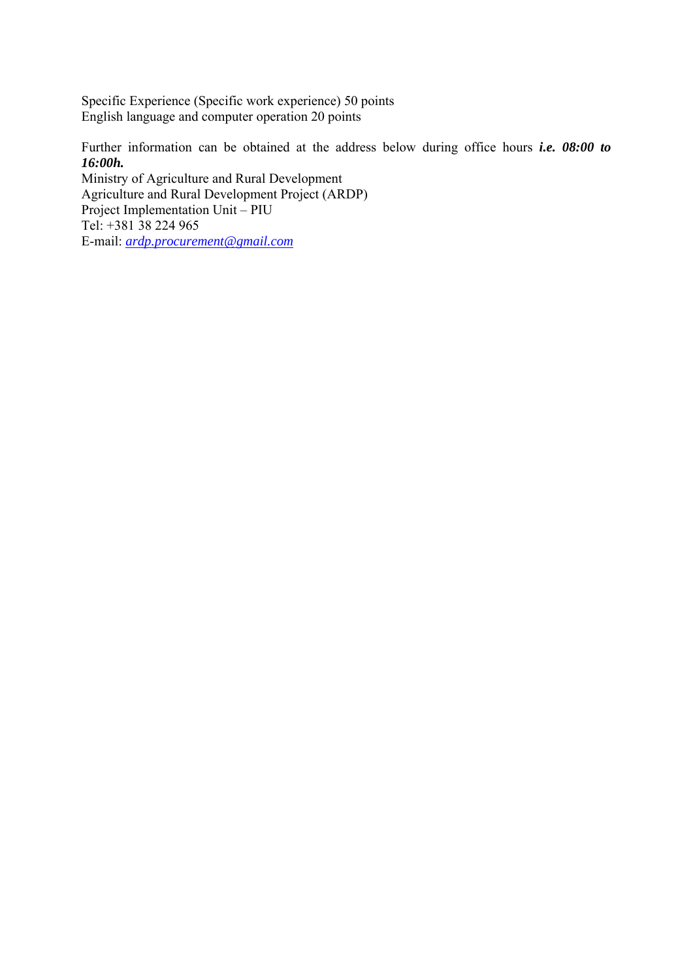Specific Experience (Specific work experience) 50 points English language and computer operation 20 points

Further information can be obtained at the address below during office hours *i.e. 08:00 to 16:00h.*

Ministry of Agriculture and Rural Development Agriculture and Rural Development Project (ARDP) Project Implementation Unit – PIU Tel: +381 38 224 965 E-mail: *ardp.procurement@gmail.com*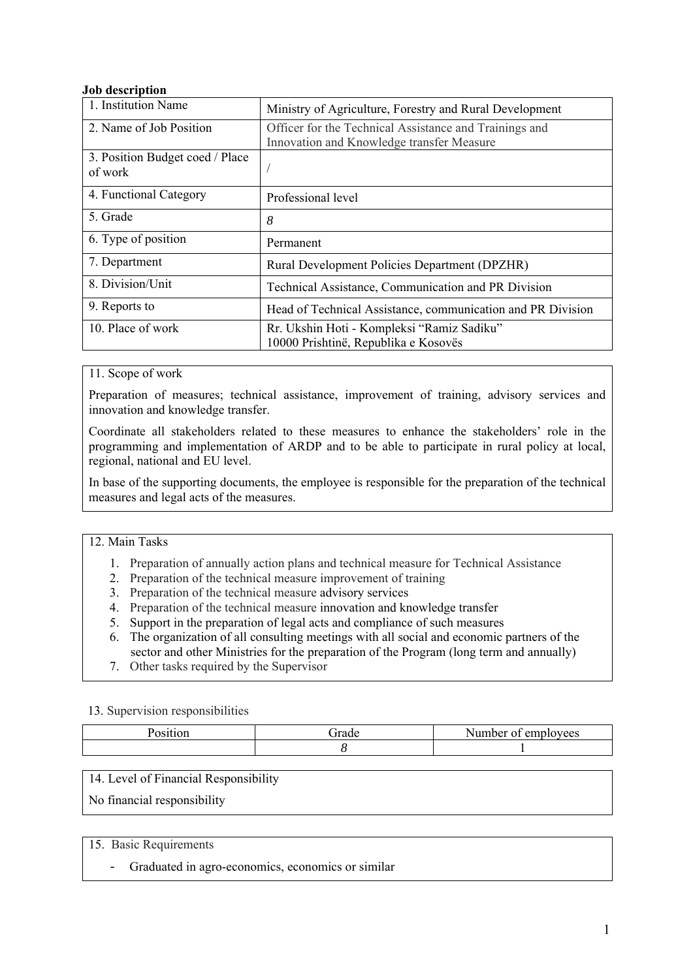### **Job description**

| 1. Institution Name             | Ministry of Agriculture, Forestry and Rural Development     |
|---------------------------------|-------------------------------------------------------------|
| 2. Name of Job Position         | Officer for the Technical Assistance and Trainings and      |
|                                 | Innovation and Knowledge transfer Measure                   |
| 3. Position Budget coed / Place |                                                             |
| of work                         |                                                             |
|                                 |                                                             |
| 4. Functional Category          | Professional level                                          |
|                                 |                                                             |
| 5. Grade                        | 8                                                           |
|                                 |                                                             |
| 6. Type of position             | Permanent                                                   |
|                                 |                                                             |
| 7. Department                   | Rural Development Policies Department (DPZHR)               |
|                                 |                                                             |
| 8. Division/Unit                | Technical Assistance, Communication and PR Division         |
| 9. Reports to                   |                                                             |
|                                 | Head of Technical Assistance, communication and PR Division |
| 10. Place of work               | Rr. Ukshin Hoti - Kompleksi "Ramiz Sadiku"                  |
|                                 | 10000 Prishtinë, Republika e Kosovës                        |
|                                 |                                                             |

11. Scope of work

Preparation of measures; technical assistance, improvement of training, advisory services and innovation and knowledge transfer.

Coordinate all stakeholders related to these measures to enhance the stakeholders' role in the programming and implementation of ARDP and to be able to participate in rural policy at local, regional, national and EU level.

In base of the supporting documents, the employee is responsible for the preparation of the technical measures and legal acts of the measures.

12. Main Tasks

- 1. Preparation of annually action plans and technical measure for Technical Assistance
- 2. Preparation of the technical measure improvement of training
- 3. Preparation of the technical measure advisory services
- 4. Preparation of the technical measure innovation and knowledge transfer
- 5. Support in the preparation of legal acts and compliance of such measures
- 6. The organization of all consulting meetings with all social and economic partners of the sector and other Ministries for the preparation of the Program (long term and annually)
- 7. Other tasks required by the Supervisor

13. Supervision responsibilities

| -irade | $\sim$<br>lovees<br>Jumbor -<br>$\sim$ 1<br>--- |
|--------|-------------------------------------------------|
|        |                                                 |

14. Level of Financial Responsibility

No financial responsibility

### 15. Basic Requirements

- Graduated in agro-economics, economics or similar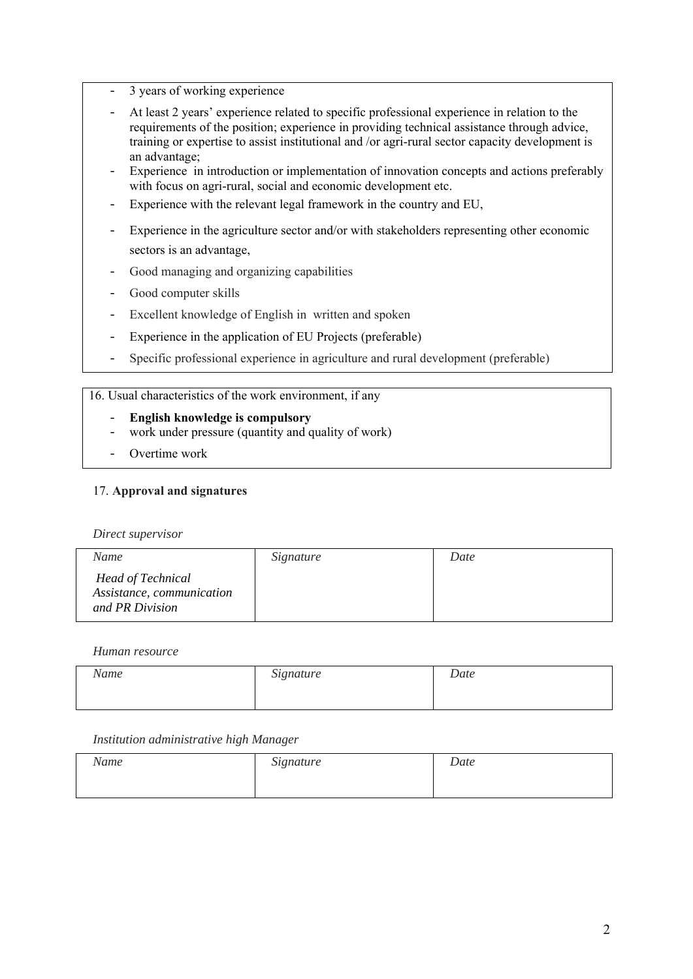- 3 years of working experience
- At least 2 years' experience related to specific professional experience in relation to the requirements of the position; experience in providing technical assistance through advice, training or expertise to assist institutional and /or agri-rural sector capacity development is an advantage;
- Experience in introduction or implementation of innovation concepts and actions preferably with focus on agri-rural, social and economic development etc.
- Experience with the relevant legal framework in the country and EU,
- Experience in the agriculture sector and/or with stakeholders representing other economic sectors is an advantage,
- Good managing and organizing capabilities
- Good computer skills
- Excellent knowledge of English in written and spoken
- Experience in the application of EU Projects (preferable)
- Specific professional experience in agriculture and rural development (preferable)

### 16. Usual characteristics of the work environment, if any

- **English knowledge is compulsory**
- work under pressure (quantity and quality of work)
- Overtime work

### 17. **Approval and signatures**

*Direct supervisor* 

| Name                                                                     | Signature | Date |
|--------------------------------------------------------------------------|-----------|------|
| <b>Head of Technical</b><br>Assistance, communication<br>and PR Division |           |      |

### *Human resource*

| Name | Signature | Date |
|------|-----------|------|
|      |           |      |

| Name | Signature | Date |
|------|-----------|------|
|      |           |      |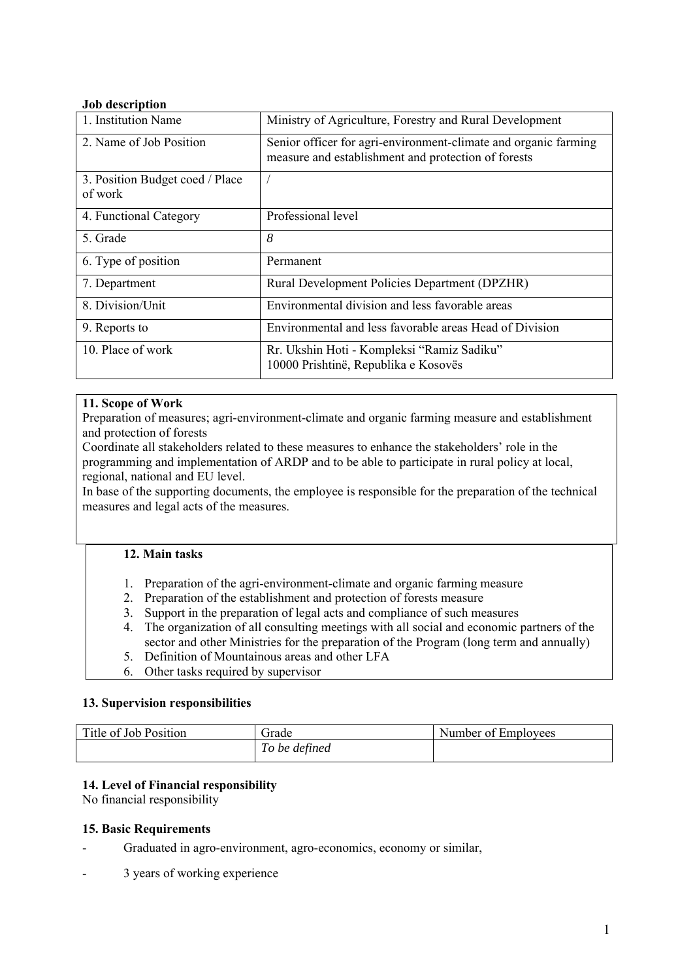### **Job description**

| 1. Institution Name                        | Ministry of Agriculture, Forestry and Rural Development                                                                |
|--------------------------------------------|------------------------------------------------------------------------------------------------------------------------|
| 2. Name of Job Position                    | Senior officer for agri-environment-climate and organic farming<br>measure and establishment and protection of forests |
| 3. Position Budget coed / Place<br>of work |                                                                                                                        |
| 4. Functional Category                     | Professional level                                                                                                     |
| 5. Grade                                   | 8                                                                                                                      |
| 6. Type of position                        | Permanent                                                                                                              |
| 7. Department                              | Rural Development Policies Department (DPZHR)                                                                          |
| 8. Division/Unit                           | Environmental division and less favorable areas                                                                        |
| 9. Reports to                              | Environmental and less favorable areas Head of Division                                                                |
| 10. Place of work                          | Rr. Ukshin Hoti - Kompleksi "Ramiz Sadiku"<br>10000 Prishtinë, Republika e Kosovës                                     |

### **11. Scope of Work**

Preparation of measures; agri-environment-climate and organic farming measure and establishment and protection of forests

Coordinate all stakeholders related to these measures to enhance the stakeholders' role in the programming and implementation of ARDP and to be able to participate in rural policy at local, regional, national and EU level.

In base of the supporting documents, the employee is responsible for the preparation of the technical measures and legal acts of the measures.

## **12. Main tasks**

- 1. Preparation of the agri-environment-climate and organic farming measure
- 2. Preparation of the establishment and protection of forests measure
- 3. Support in the preparation of legal acts and compliance of such measures
- 4. The organization of all consulting meetings with all social and economic partners of the sector and other Ministries for the preparation of the Program (long term and annually)
- 5. Definition of Mountainous areas and other LFA
- 6. Other tasks required by supervisor

### **13. Supervision responsibilities**

| Title of Job Position | Frade         | Number of Employees |
|-----------------------|---------------|---------------------|
|                       | To be defined |                     |

## **14. Level of Financial responsibility**

No financial responsibility

### **15. Basic Requirements**

- Graduated in agro-environment, agro-economics, economy or similar,
- 3 years of working experience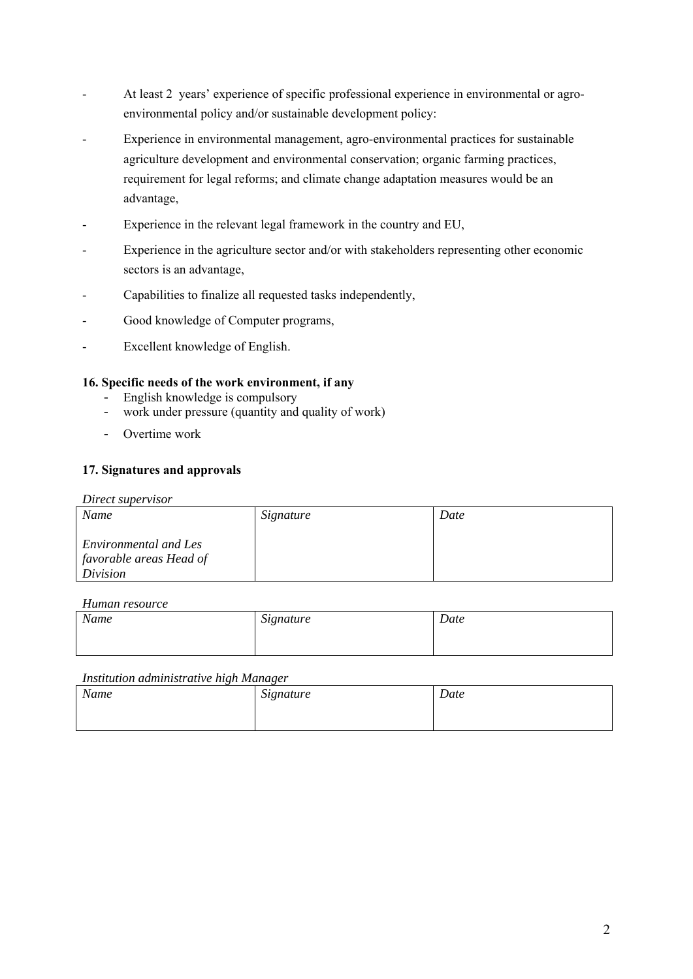- At least 2 years' experience of specific professional experience in environmental or agroenvironmental policy and/or sustainable development policy:
- Experience in environmental management, agro-environmental practices for sustainable agriculture development and environmental conservation; organic farming practices, requirement for legal reforms; and climate change adaptation measures would be an advantage,
- Experience in the relevant legal framework in the country and EU,
- Experience in the agriculture sector and/or with stakeholders representing other economic sectors is an advantage,
- Capabilities to finalize all requested tasks independently,
- Good knowledge of Computer programs,
- Excellent knowledge of English.

### **16. Specific needs of the work environment, if any**

- English knowledge is compulsory
- work under pressure (quantity and quality of work)
- Overtime work

### **17. Signatures and approvals**

#### *Direct supervisor*

| Name                                                         | Signature | Date |
|--------------------------------------------------------------|-----------|------|
| Environmental and Les<br>favorable areas Head of<br>Division |           |      |

#### *Human resource*

| Name | Signature | Date |
|------|-----------|------|
|      |           |      |

| Name | Signature | Date |
|------|-----------|------|
|      |           |      |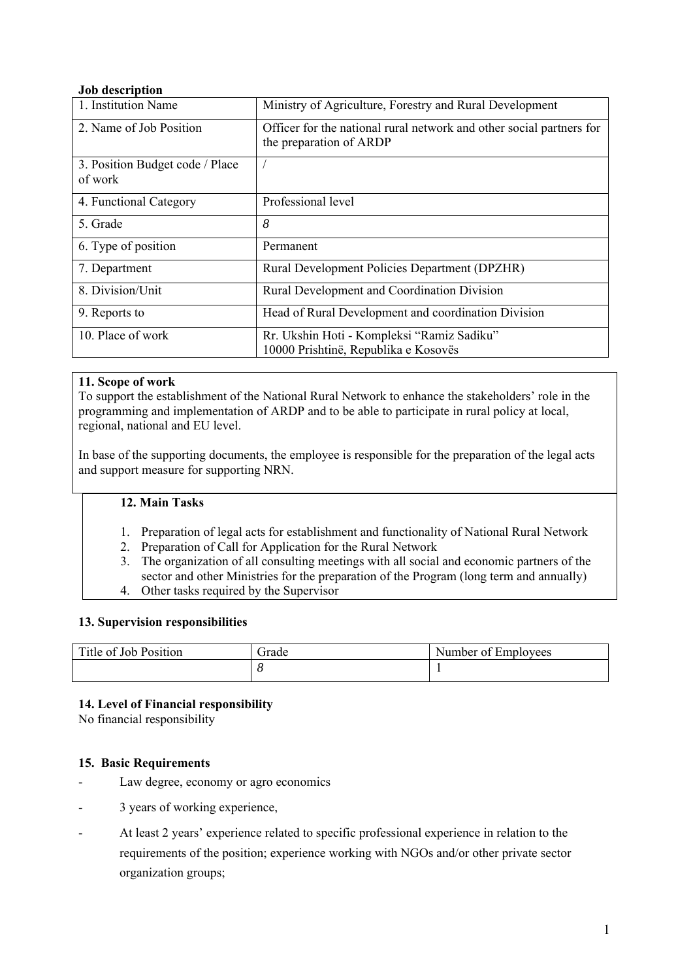### **Job description**

| 1. Institution Name                        | Ministry of Agriculture, Forestry and Rural Development                                         |
|--------------------------------------------|-------------------------------------------------------------------------------------------------|
| 2. Name of Job Position                    | Officer for the national rural network and other social partners for<br>the preparation of ARDP |
| 3. Position Budget code / Place<br>of work |                                                                                                 |
| 4. Functional Category                     | Professional level                                                                              |
| 5. Grade                                   | 8                                                                                               |
| 6. Type of position                        | Permanent                                                                                       |
| 7. Department                              | Rural Development Policies Department (DPZHR)                                                   |
| 8. Division/Unit                           | Rural Development and Coordination Division                                                     |
| 9. Reports to                              | Head of Rural Development and coordination Division                                             |
| 10. Place of work                          | Rr. Ukshin Hoti - Kompleksi "Ramiz Sadiku"<br>10000 Prishtinë, Republika e Kosovës              |

### **11. Scope of work**

To support the establishment of the National Rural Network to enhance the stakeholders' role in the programming and implementation of ARDP and to be able to participate in rural policy at local, regional, national and EU level.

In base of the supporting documents, the employee is responsible for the preparation of the legal acts and support measure for supporting NRN.

### **12. Main Tasks**

- 1. Preparation of legal acts for establishment and functionality of National Rural Network
- 2. Preparation of Call for Application for the Rural Network
- 3. The organization of all consulting meetings with all social and economic partners of the sector and other Ministries for the preparation of the Program (long term and annually) 4. Other tasks required by the Supervisor

## **13. Supervision responsibilities**

| Title of Job Position | frade | Number of Employees |
|-----------------------|-------|---------------------|
|                       | ີ     |                     |

## **14. Level of Financial responsibility**

No financial responsibility

## **15. Basic Requirements**

- Law degree, economy or agro economics
- 3 years of working experience,
- At least 2 years' experience related to specific professional experience in relation to the requirements of the position; experience working with NGOs and/or other private sector organization groups;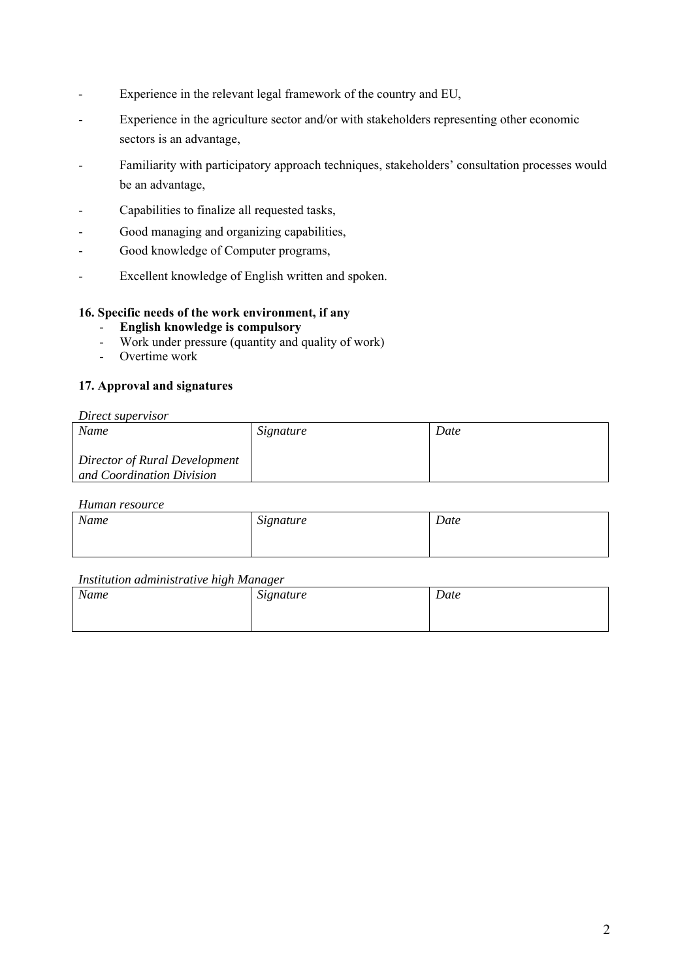- Experience in the relevant legal framework of the country and EU,
- Experience in the agriculture sector and/or with stakeholders representing other economic sectors is an advantage,
- Familiarity with participatory approach techniques, stakeholders' consultation processes would be an advantage,
- Capabilities to finalize all requested tasks,
- Good managing and organizing capabilities,
- Good knowledge of Computer programs,
- Excellent knowledge of English written and spoken.

### **16. Specific needs of the work environment, if any**

- **English knowledge is compulsory**
- Work under pressure (quantity and quality of work)
- Overtime work

### **17. Approval and signatures**

#### *Direct supervisor*

| Name                                                       | Signature | Date |
|------------------------------------------------------------|-----------|------|
| Director of Rural Development<br>and Coordination Division |           |      |

### *Human resource*

| Name | Signature | Date |
|------|-----------|------|
|      |           |      |

| Name | Signature | Date |
|------|-----------|------|
|      |           |      |
|      |           |      |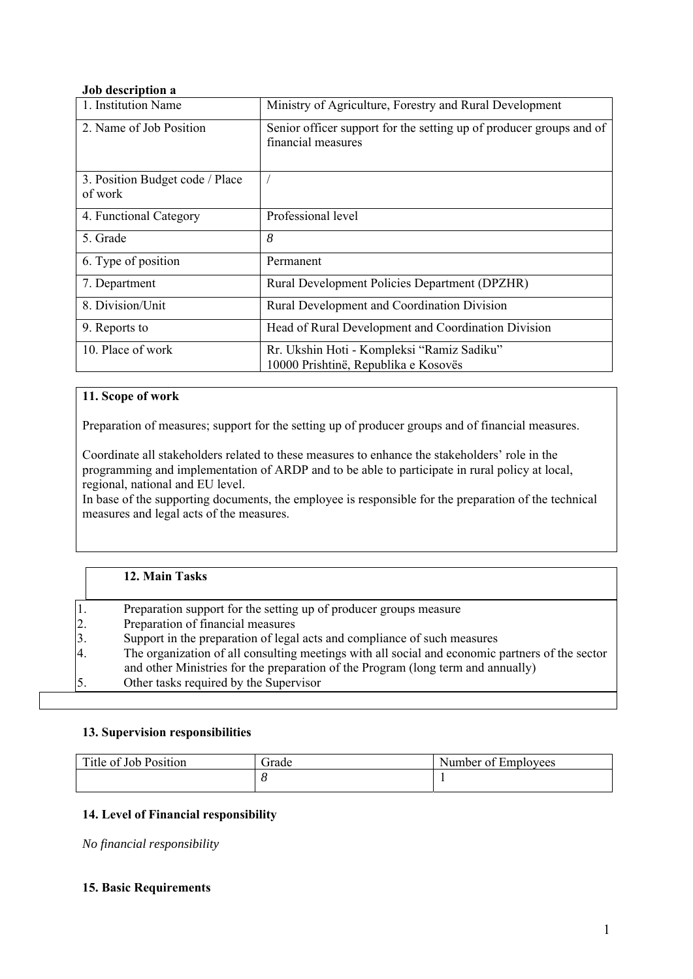### **Job description a**

| 1. Institution Name                        | Ministry of Agriculture, Forestry and Rural Development                                   |  |
|--------------------------------------------|-------------------------------------------------------------------------------------------|--|
| 2. Name of Job Position                    | Senior officer support for the setting up of producer groups and of<br>financial measures |  |
| 3. Position Budget code / Place<br>of work |                                                                                           |  |
| 4. Functional Category                     | Professional level                                                                        |  |
| 5. Grade                                   | 8                                                                                         |  |
| 6. Type of position                        | Permanent                                                                                 |  |
| 7. Department                              | Rural Development Policies Department (DPZHR)                                             |  |
| 8. Division/Unit                           | Rural Development and Coordination Division                                               |  |
| 9. Reports to                              | Head of Rural Development and Coordination Division                                       |  |
| 10. Place of work                          | Rr. Ukshin Hoti - Kompleksi "Ramiz Sadiku"<br>10000 Prishtinë, Republika e Kosovës        |  |

## **11. Scope of work**

Preparation of measures; support for the setting up of producer groups and of financial measures.

Coordinate all stakeholders related to these measures to enhance the stakeholders' role in the programming and implementation of ARDP and to be able to participate in rural policy at local, regional, national and EU level.

In base of the supporting documents, the employee is responsible for the preparation of the technical measures and legal acts of the measures.

## **12. Main Tasks**

| Preparation support for the setting up of producer groups measure                                     |  |
|-------------------------------------------------------------------------------------------------------|--|
| 2.<br>Preparation of financial measures                                                               |  |
| 3.<br>Support in the preparation of legal acts and compliance of such measures                        |  |
| 4.<br>The organization of all consulting meetings with all social and economic partners of the sector |  |
| and other Ministries for the preparation of the Program (long term and annually)                      |  |
| 5.<br>Other tasks required by the Supervisor                                                          |  |

### **13. Supervision responsibilities**

| Title of .<br>$\mathbf{\mathbf{r}}$<br>Job Position | frade | Number of<br>Emplovees |
|-----------------------------------------------------|-------|------------------------|
|                                                     |       |                        |

## **14. Level of Financial responsibility**

*No financial responsibility* 

### **15. Basic Requirements**